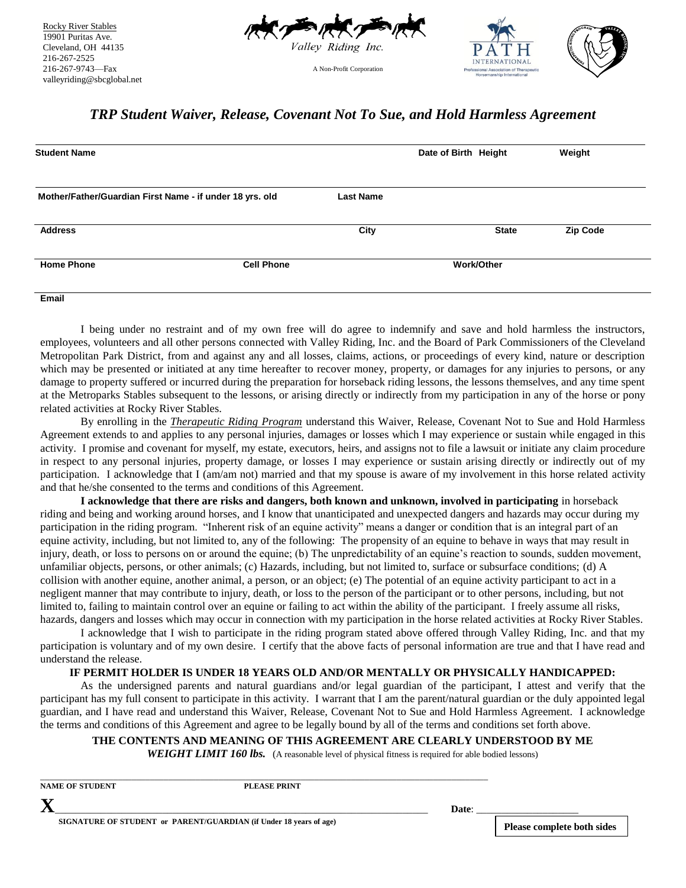

 Cleveland, OH 44135 Rocky River Stables 19901 Puritas Ave. 216-267-2525 216-267-9743—Fax valleyriding@sbcglobal.net



## *TRP Student Waiver, Release, Covenant Not To Sue, and Hold Harmless Agreement*

A Non-Profit Corporation

| <b>Student Name</b>                                      |                   |                  | Date of Birth Height |              | Weight          |
|----------------------------------------------------------|-------------------|------------------|----------------------|--------------|-----------------|
| Mother/Father/Guardian First Name - if under 18 yrs. old |                   | <b>Last Name</b> |                      |              |                 |
| <b>Address</b>                                           |                   | City             |                      | <b>State</b> | <b>Zip Code</b> |
| <b>Home Phone</b>                                        | <b>Cell Phone</b> |                  | <b>Work/Other</b>    |              |                 |
| Email                                                    |                   |                  |                      |              |                 |

I being under no restraint and of my own free will do agree to indemnify and save and hold harmless the instructors, employees, volunteers and all other persons connected with Valley Riding, Inc. and the Board of Park Commissioners of the Cleveland Metropolitan Park District, from and against any and all losses, claims, actions, or proceedings of every kind, nature or description which may be presented or initiated at any time hereafter to recover money, property, or damages for any injuries to persons, or any damage to property suffered or incurred during the preparation for horseback riding lessons, the lessons themselves, and any time spent at the Metroparks Stables subsequent to the lessons, or arising directly or indirectly from my participation in any of the horse or pony related activities at Rocky River Stables.

By enrolling in the *Therapeutic Riding Program* understand this Waiver, Release, Covenant Not to Sue and Hold Harmless Agreement extends to and applies to any personal injuries, damages or losses which I may experience or sustain while engaged in this activity. I promise and covenant for myself, my estate, executors, heirs, and assigns not to file a lawsuit or initiate any claim procedure in respect to any personal injuries, property damage, or losses I may experience or sustain arising directly or indirectly out of my participation. I acknowledge that I (am/am not) married and that my spouse is aware of my involvement in this horse related activity and that he/she consented to the terms and conditions of this Agreement.

**I acknowledge that there are risks and dangers, both known and unknown, involved in participating** in horseback riding and being and working around horses, and I know that unanticipated and unexpected dangers and hazards may occur during my participation in the riding program. "Inherent risk of an equine activity" means a danger or condition that is an integral part of an equine activity, including, but not limited to, any of the following: The propensity of an equine to behave in ways that may result in injury, death, or loss to persons on or around the equine; (b) The unpredictability of an equine's reaction to sounds, sudden movement, unfamiliar objects, persons, or other animals; (c) Hazards, including, but not limited to, surface or subsurface conditions; (d) A collision with another equine, another animal, a person, or an object; (e) The potential of an equine activity participant to act in a negligent manner that may contribute to injury, death, or loss to the person of the participant or to other persons, including, but not limited to, failing to maintain control over an equine or failing to act within the ability of the participant. I freely assume all risks, hazards, dangers and losses which may occur in connection with my participation in the horse related activities at Rocky River Stables.

I acknowledge that I wish to participate in the riding program stated above offered through Valley Riding, Inc. and that my participation is voluntary and of my own desire. I certify that the above facts of personal information are true and that I have read and understand the release.

#### **IF PERMIT HOLDER IS UNDER 18 YEARS OLD AND/OR MENTALLY OR PHYSICALLY HANDICAPPED:**

As the undersigned parents and natural guardians and/or legal guardian of the participant, I attest and verify that the participant has my full consent to participate in this activity. I warrant that I am the parent/natural guardian or the duly appointed legal guardian, and I have read and understand this Waiver, Release, Covenant Not to Sue and Hold Harmless Agreement. I acknowledge the terms and conditions of this Agreement and agree to be legally bound by all of the terms and conditions set forth above.

#### **THE CONTENTS AND MEANING OF THIS AGREEMENT ARE CLEARLY UNDERSTOOD BY ME**

**WEIGHT LIMIT 160 lbs.** (A reasonable level of physical fitness is required for able bodied lessons)

| <b>NAME OF STUDENT</b> | PLEASE PRINT                                                       |       |                                   |
|------------------------|--------------------------------------------------------------------|-------|-----------------------------------|
|                        |                                                                    | Date: |                                   |
|                        | SIGNATURE OF STUDENT or PARENT/GUARDIAN (if Under 18 years of age) |       | <b>Please complete both sides</b> |